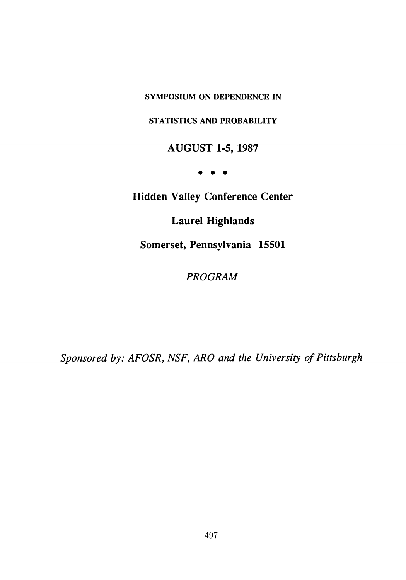**SYMPOSIUM ON DEPENDENCE IN**

**STATISTICS AND PROBABILITY**

**AUGUST 1-5, 1987**

**•**

**Hidden Valley Conference Center**

**Laurel Highlands**

**Somerset, Pennsylvania 15501**

*PROGRAM*

*Sponsored by: AFOSR, NSF, ARO and the University of Pittsburgh*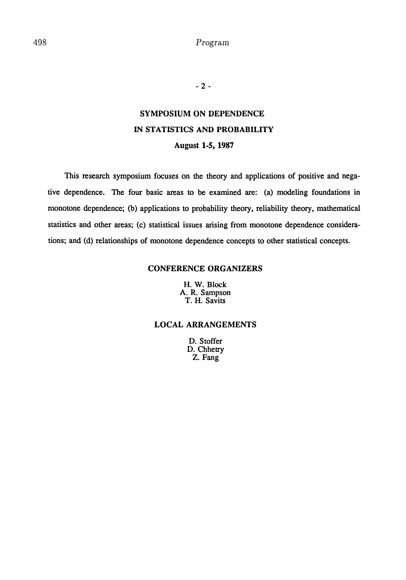**- 2 -**

# **SYMPOSIUM ON DEPENDENCE IN STATISTICS AND PROBABILITY August 1-5, 1987**

This research symposium focuses on the theory and applications of positive and negative dependence. The four basic areas to be examined are: (a) modeling foundations in monotone dependence; (b) applications to probability theory, reliability theory, mathematical statistics and other areas; (c) statistical issues arising from monotone dependence considerations; and (d) relationships of monotone dependence concepts to other statistical concepts.

# **CONFERENCE ORGANIZERS**

H. W. Block A. R. Sampson T. H. Savits

# **LOCAL ARRANGEMENTS**

**D.** Stoffer D. Chhetry Z. Fang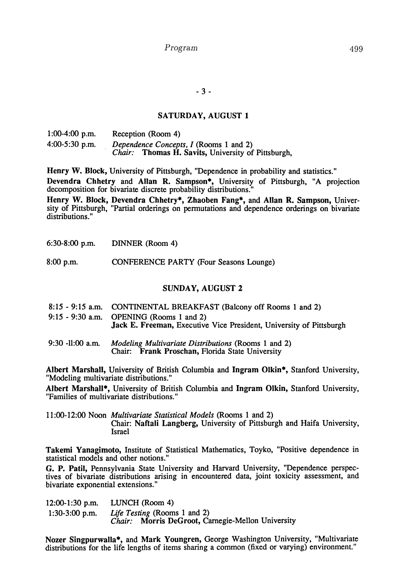**- 3 -**

### **SATURDAY, AUGUST 1**

| $1:00-4:00$ p.m. | Reception (Room 4)                                        |  |  |
|------------------|-----------------------------------------------------------|--|--|
| $4:00-5:30$ p.m. | Dependence Concepts, I (Rooms 1 and 2)                    |  |  |
|                  | <i>Chair:</i> Thomas H. Savits, University of Pittsburgh, |  |  |

**Henry W. Block,** University of Pittsburgh, "Dependence in probability and statistics."

**Devendra Chhetry** and **Allan R. Sampson\*,** University of Pittsburgh, "A projection decomposition for bivariate discrete probability distributions."

**Henry W. Block, Devendra Chhetry\*, Zhaoben Fang\*,** and **Allan R. Sampson,** University of Pittsburgh, "Partial orderings on permutations and dependence orderings on bivariate distributions."

6:30-8:00 p.m. DINNER (Room 4)

8:00 p.m. CONFERENCE PARTY (Four Seasons Lounge)

### SUNDAY, **AUGUST** 2

- 8:15 9:15 a.m. CONTINENTAL BREAKFAST (Balcony off Rooms 1 and 2) 9:15 - 9:30 a.m. OPENING (Rooms 1 and 2) **Jack E. Freeman,** Executive Vice President, University of Pittsburgh
- 9:30 -11:00 a.m. *Modeling Multivariate Distributions* (Rooms 1 and 2) Chair: **Frank Proschan,** Florida State University

**Albert Marshall,** University of British Columbia and **Ingram Olkin\*,** Stanford University, "Modeling multivariate distributions."

**Albert Marshall\*,** University of British Columbia and **Ingram Olkin,** Stanford University, "Families of multivariate distributions."

11:00-12:00 Noon *Multivariate Statistical Models* (Rooms 1 and 2) Chair: **Naftali Langberg,** University of Pittsburgh and Haifa University, Israel

**Takemi Yanagimoto,** Institute of Statistical Mathematics, Toyko, "Positive dependence in statistical models and other notions."

**G. P. Patil,** Pennsylvania State University and Harvard University, "Dependence perspectives of bivariate distributions arising in encountered data, joint toxicity assessment, and bivariate exponential extensions."

| $12:00-1:30$ p.m. | LUNCH (Room 4)                                    |
|-------------------|---------------------------------------------------|
| $1:30-3:00$ p.m.  | Life Testing (Rooms 1 and 2)                      |
|                   | Chair: Morris DeGroot, Carnegie-Mellon University |

**Nozer Singpurwalla\*,** and **Mark Youngren,** George Washington University, "Multivariate distributions for the life lengths of items sharing a common (fixed or varying) environment."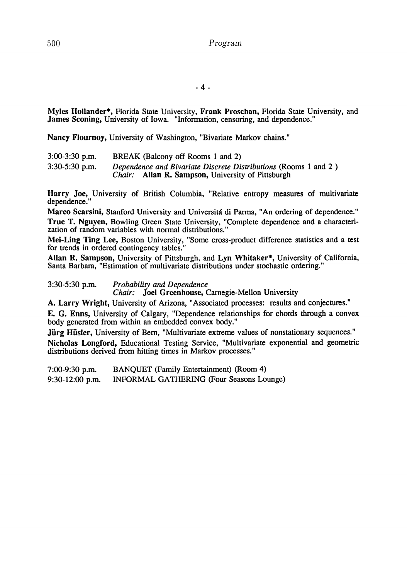**- 4 -**

**Myles Hollander\*,** Florida State University, **Frank Proschan,** Florida State University, and James **Sconing,** University of Iowa. "Information, censoring, and dependence."

**Nancy Flournoy,** University of Washington, "Bivariate Markov chains."

| $3:00-3:30$ p.m. | BREAK (Balcony off Rooms 1 and 2)                                                                                           |
|------------------|-----------------------------------------------------------------------------------------------------------------------------|
| $3:30-5:30$ p.m. | Dependence and Bivariate Discrete Distributions (Rooms 1 and 2)<br><i>Chair:</i> Allan R. Sampson, University of Pittsburgh |

**Harry Joe,** University of British Columbia, "Relative entropy measures of multivariate dependence.'

Marco Scarsini, Stanford University and Universitá di Parma, "An ordering of dependence." **True T. Nguyen,** Bowling Green State University, "Complete dependence and a characterization of random variables with normal distributions."

**Mei-Ling Ting Lee,** Boston University, "Some cross-product difference statistics and a test for trends in ordered contingency tables."

**Allan R. Sampson,** University of Pittsburgh, and **Lyn Whitaker\*,** University of California, Santa Barbara, "Estimation of multivariate distributions under stochastic ordering."

3:30-5:30 p.m. *Probability and Dependence Chair:* **Joel Greenhouse,** Carnegie-Mellon University

**A. Larry Wright,** University of Arizona, "Associated processes: results and conjectures."

**E. G. Enns,** University of Calgary, "Dependence relationships for chords through a convex body generated from within an embedded convex body."

Jürg Hüsler, University of Bern, "Multivariate extreme values of nonstationary sequences." **Nicholas Longford,** Educational Testing Service, "Multivariate exponential and geometric distributions derived from hitting times in Markov processes."

7:00-9:30 p.m. BANQUET (Family Entertainment) (Room 4) 9:30-12:00 p.m. INFORMAL GATHERING (Four Seasons Lounge)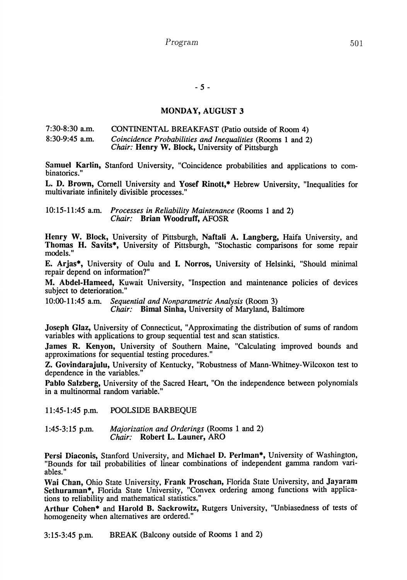# **MONDAY, AUGUST 3**

### 7:30-8:30 a.m. CONTINENTAL BREAKFAST (Patio outside of Room 4) 8:30-9:45 a.m. *Coincidence Probabilities and Inequalities* (Rooms 1 and 2) *Chair:* **Henry W. Block,** University of Pittsburgh

**Samuel Karlin,** Stanford University, "Coincidence probabilities and applications to combinatorics."

**L. D. Brown,** Cornell University and **Yosef Rinott,\*** Hebrew University, "Inequalities for multivariate infinitely divisible processes."

10:15-11:45 a.m. *Processes in Reliability Maintenance* (Rooms 1 and 2) *Chair:* **Brian Woodruff, AFOSR**

**Henry W. Block,** University of Pittsburgh, **Naftali A. Langberg,** Haifa University, and Thomas H. Savits<sup>\*</sup>, University of Pittsburgh, "Stochastic comparisons for some repair models."

**E. Arjas\*,** University of Oulu and **I. Norros,** University of Helsinki, "Should minimal repair depend on information?"

**M. Abdel-Hameed,** Kuwait University, "Inspection and maintenance policies of devices subject to deterioration."

10:00-11:45 a.m. *Sequential and Nonparametric Analysis* (Room 3) *Chair:* **Bimal Sinha,** University of Maryland, Baltimore

**Joseph Glaz,** University of Connecticut, "Approximating the distribution of sums of random variables with applications to group sequential test and scan statistics.

**James R. Kenyon,** University of Southern Maine, "Calculating improved bounds and approximations for sequential testing procedures."

**Z. Govindarajulu,** University of Kentucky, "Robustness of Mann-Whitney-Wilcoxon test to dependence in the variables."

**Pablo Salzberg,** University of the Sacred Heart, "On the independence between polynomials in a multinormal random variable."

11:45-l:45 p.m. POOLSIDE BARBEQUE

1:45-3:15 p.m. *Majorization and Orderings* (Rooms 1 and 2) *Chair:* **Robert L. Launer,** ARO

**Persi Diaconis,** Stanford University, and **Michael D. Perlman\*,** University of Washington, "Bounds for tail probabilities of linear combinations of independent gamma random variables."

**Wai Chan,** Ohio State University, **Frank Proschan,** Florida State University, and **Jayaram Sethuraman\*,** Florida State University, "Convex ordering among functions with applications to reliability and mathematical statistics."

**Arthur Cohen\*** and **Harold B. Sackrowitz,** Rutgers University, "Unbiasedness of tests of homogeneity when alternatives are ordered."

3:15-3:45 p.m. BREAK (Balcony outside of Rooms 1 and 2)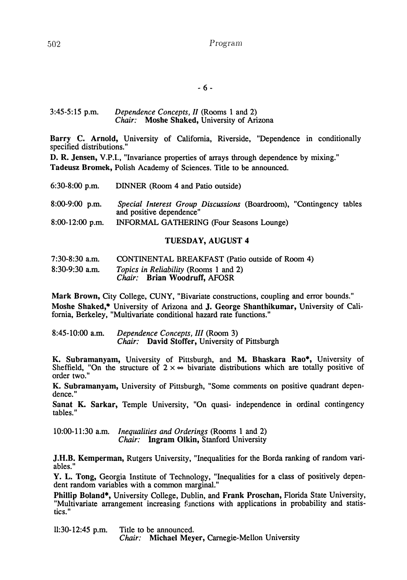3:45-5:15 p.m. *Dependence Concepts, II* (Rooms 1 and 2) *Chair:* **Moshe Shaked,** University of Arizona

**Barry C. Arnold,** University of California, Riverside, "Dependence in conditionally specified distributions."

**D. R. Jensen, V.P.I., "Invariance properties of arrays through dependence by mixing." Tadeusz Bromek,** Polish Academy of Sciences. Title to be announced.

| 6:30-8:00 p.m.    | DINNER (Room 4 and Patio outside)                                                                      |
|-------------------|--------------------------------------------------------------------------------------------------------|
| $8:00-9:00$ p.m.  | <i>Special Interest Group Discussions (Boardroom), "Contingency tables</i><br>and positive dependence" |
| $8:00-12:00$ p.m. | INFORMAL GATHERING (Four Seasons Lounge)                                                               |

# **TUESDAY, AUGUST 4**

| $7:30-8:30$ a.m. | <b>CONTINENTAL BREAKFAST</b> (Patio outside of Room 4)                       |
|------------------|------------------------------------------------------------------------------|
| $8:30-9:30$ a.m. | <i>Topics in Reliability</i> (Rooms 1 and 2)<br>Chair: Brian Woodruff, AFOSR |

**Mark Brown,** City College, CUNY, "Bivariate constructions, coupling and error bounds." **Moshe Shaked,\*** University of Arizona and **J. George Shanthikumar,** University of California, Berkeley, "Multivariate conditional hazard rate functions."

8:45-10:00 a.m. *Dependence Concepts, III* (Room 3) *Chair:* **David Stoffer,** University of Pittsburgh

**K. Subramanyam,** University of Pittsburgh, and M. **Bhaskara Rao\*,** University of Sheffield, "On the structure of  $2 \times \infty$  bivariate distributions which are totally positive of order two."

**K. Subramanyam,** University of Pittsburgh, "Some comments on positive quadrant dependence."

**Sanat K. Sarkar,** Temple University, "On quasi- independence in ordinal contingency tables."

10:00-11:30 a.m. *Inequalities and Orderings* (Rooms 1 and 2) *Chair:* **Ingram Olkin,** Stanford University

**J.H.B. Kemperman,** Rutgers University, "Inequalities for the Borda ranking of random variables."

**Y. L. Tong,** Georgia Institute of Technology, "Inequalities for a class of positively dependent random variables with a common marginal."

**Phillip Boland\*,** University College, Dublin, and **Frank Proschan,** Florida State University, "Multivariate arrangement increasing functions with applications in probability and statistics."

11:30-12:45 p.m. Title to be announced. *Chair:* **Michael Meyer,** Carnegie-Mellon University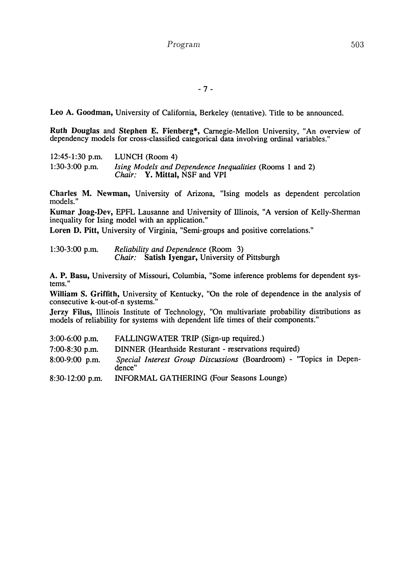Leo A. Goodman, University of California, Berkeley (tentative). Title to be announced.

**Ruth Douglas** and **Stephen E. Fϊenberg\*,** Carnegie-Mellon University, "An overview of dependency models for cross-classified categorical data involving ordinal variables."

12:45-1:30 p.m. LUNCH (Room 4) 1:30-3:00 p.m. *Ising Models and Dependence Inequalities* (Rooms 1 and 2) *Chair:* **Y. Mittal,** NSF and **VPI**

**Charles M. Newman,** University of Arizona, "Ising models as dependent percolation models."

**Kumar Joag-Dev,** EPFL Lausanne and University of Illinois, "A version of Kelly-Sherman inequality for Ising model with an application."

**Loren D. Pitt,** University of Virginia, "Semi-groups and positive correlations."

| $1:30-3:00$ p.m. | <i>Reliability and Dependence</i> (Room 3)      |  |
|------------------|-------------------------------------------------|--|
|                  | Chair: Satish Iyengar, University of Pittsburgh |  |

**A. P. Basu,** University of Missouri, Columbia, "Some inference problems for dependent sys tems."

**William S. Griffith,** University of Kentucky, "On the role of dependence in the analysis of consecutive k-out-of-n systems."

**Jerzy Filus,** Illinois Institute of Technology, "On multivariate probability distributions as models of reliability for systems with dependent life times of their components."

| $3:00-6:00$ p.m.  | FALLINGWATER TRIP (Sign-up required.)                                        |
|-------------------|------------------------------------------------------------------------------|
| $7:00-8:30$ p.m.  | DINNER (Hearthside Resturant - reservations required)                        |
| $8:00-9:00$ p.m.  | Special Interest Group Discussions (Boardroom) - "Topics in Depen-<br>dence" |
| $8:30-12:00$ p.m. | INFORMAL GATHERING (Four Seasons Lounge)                                     |